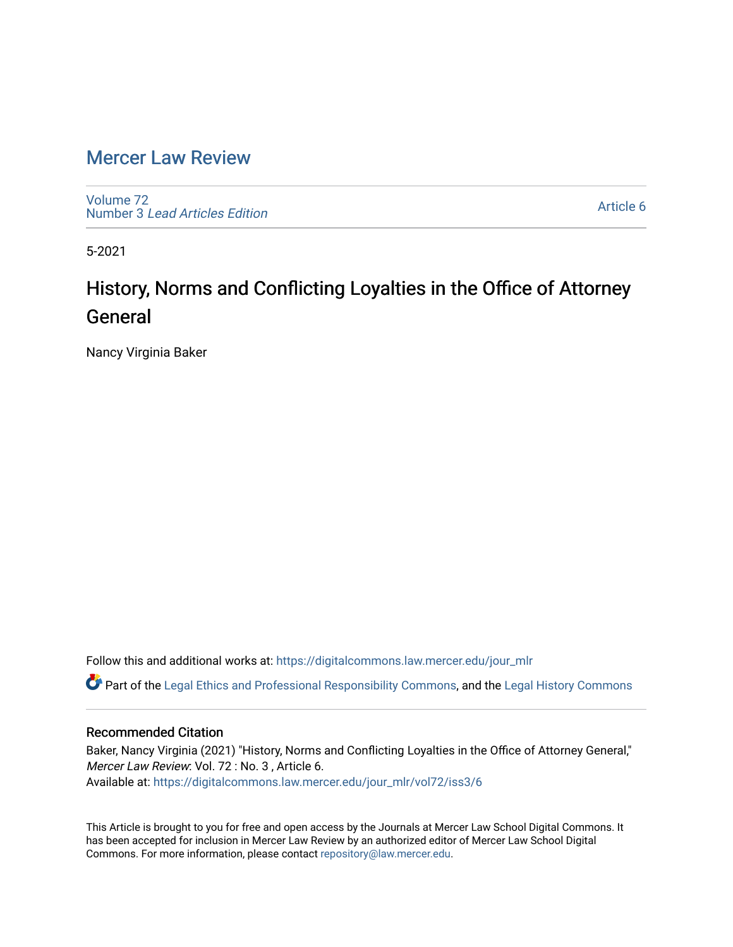# [Mercer Law Review](https://digitalcommons.law.mercer.edu/jour_mlr)

[Volume 72](https://digitalcommons.law.mercer.edu/jour_mlr/vol72) Number 3 [Lead Articles Edition](https://digitalcommons.law.mercer.edu/jour_mlr/vol72/iss3)

[Article 6](https://digitalcommons.law.mercer.edu/jour_mlr/vol72/iss3/6) 

5-2021

# History, Norms and Conflicting Loyalties in the Office of Attorney General

Nancy Virginia Baker

Follow this and additional works at: [https://digitalcommons.law.mercer.edu/jour\\_mlr](https://digitalcommons.law.mercer.edu/jour_mlr?utm_source=digitalcommons.law.mercer.edu%2Fjour_mlr%2Fvol72%2Fiss3%2F6&utm_medium=PDF&utm_campaign=PDFCoverPages)

Part of the [Legal Ethics and Professional Responsibility Commons](http://network.bepress.com/hgg/discipline/895?utm_source=digitalcommons.law.mercer.edu%2Fjour_mlr%2Fvol72%2Fiss3%2F6&utm_medium=PDF&utm_campaign=PDFCoverPages), and the [Legal History Commons](http://network.bepress.com/hgg/discipline/904?utm_source=digitalcommons.law.mercer.edu%2Fjour_mlr%2Fvol72%2Fiss3%2F6&utm_medium=PDF&utm_campaign=PDFCoverPages) 

### Recommended Citation

Baker, Nancy Virginia (2021) "History, Norms and Conflicting Loyalties in the Office of Attorney General," Mercer Law Review: Vol. 72 : No. 3 , Article 6. Available at: [https://digitalcommons.law.mercer.edu/jour\\_mlr/vol72/iss3/6](https://digitalcommons.law.mercer.edu/jour_mlr/vol72/iss3/6?utm_source=digitalcommons.law.mercer.edu%2Fjour_mlr%2Fvol72%2Fiss3%2F6&utm_medium=PDF&utm_campaign=PDFCoverPages)

This Article is brought to you for free and open access by the Journals at Mercer Law School Digital Commons. It has been accepted for inclusion in Mercer Law Review by an authorized editor of Mercer Law School Digital Commons. For more information, please contact [repository@law.mercer.edu.](mailto:repository@law.mercer.edu)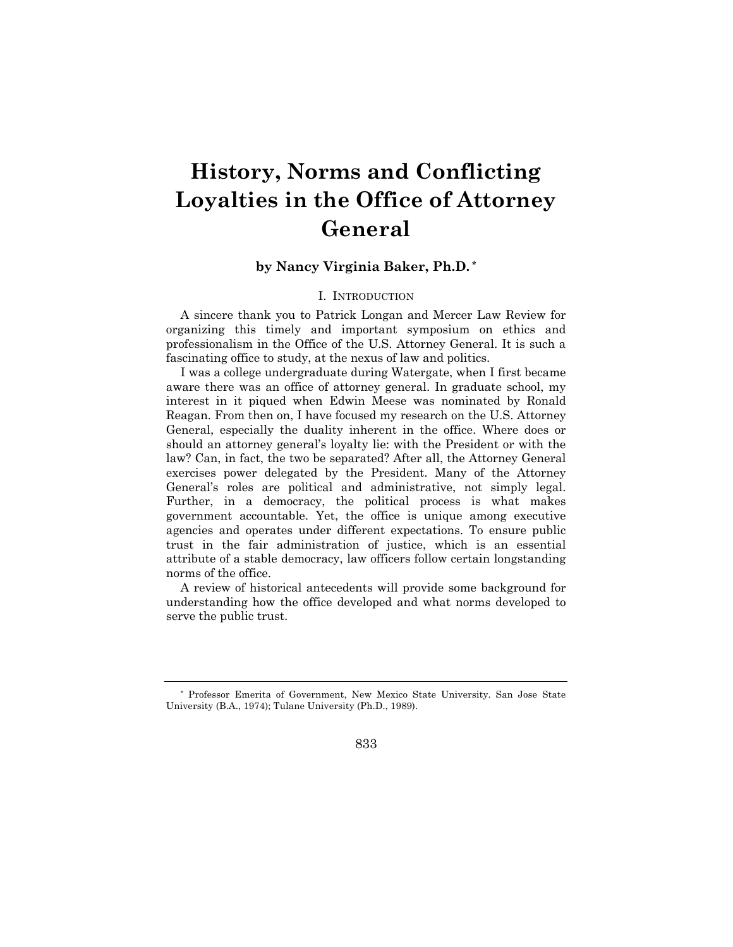# **History, Norms and Conflicting Loyalties in the Office of Attorney General**

## **by Nancy Virginia Baker, Ph.D. \***

### I. INTRODUCTION

A sincere thank you to Patrick Longan and Mercer Law Review for organizing this timely and important symposium on ethics and professionalism in the Office of the U.S. Attorney General. It is such a fascinating office to study, at the nexus of law and politics.

I was a college undergraduate during Watergate, when I first became aware there was an office of attorney general. In graduate school, my interest in it piqued when Edwin Meese was nominated by Ronald Reagan. From then on, I have focused my research on the U.S. Attorney General, especially the duality inherent in the office. Where does or should an attorney general's loyalty lie: with the President or with the law? Can, in fact, the two be separated? After all, the Attorney General exercises power delegated by the President. Many of the Attorney General's roles are political and administrative, not simply legal. Further, in a democracy, the political process is what makes government accountable. Yet, the office is unique among executive agencies and operates under different expectations. To ensure public trust in the fair administration of justice, which is an essential attribute of a stable democracy, law officers follow certain longstanding norms of the office.

A review of historical antecedents will provide some background for understanding how the office developed and what norms developed to serve the public trust.

<sup>\*</sup> Professor Emerita of Government, New Mexico State University. San Jose State University (B.A., 1974); Tulane University (Ph.D., 1989).

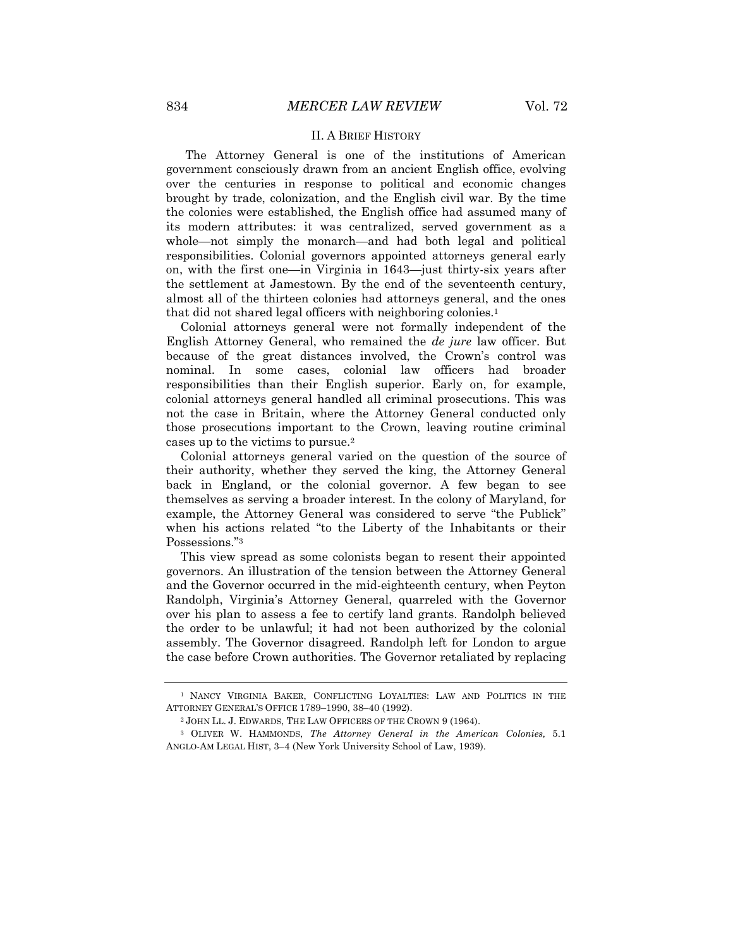#### II. A BRIEF HISTORY

The Attorney General is one of the institutions of American government consciously drawn from an ancient English office, evolving over the centuries in response to political and economic changes brought by trade, colonization, and the English civil war. By the time the colonies were established, the English office had assumed many of its modern attributes: it was centralized, served government as a whole—not simply the monarch—and had both legal and political responsibilities. Colonial governors appointed attorneys general early on, with the first one—in Virginia in 1643—just thirty-six years after the settlement at Jamestown. By the end of the seventeenth century, almost all of the thirteen colonies had attorneys general, and the ones that did not shared legal officers with neighboring colonies.<sup>1</sup>

Colonial attorneys general were not formally independent of the English Attorney General, who remained the *de jure* law officer. But because of the great distances involved, the Crown's control was nominal. In some cases, colonial law officers had broader responsibilities than their English superior. Early on, for example, colonial attorneys general handled all criminal prosecutions. This was not the case in Britain, where the Attorney General conducted only those prosecutions important to the Crown, leaving routine criminal cases up to the victims to pursue.2

Colonial attorneys general varied on the question of the source of their authority, whether they served the king, the Attorney General back in England, or the colonial governor. A few began to see themselves as serving a broader interest. In the colony of Maryland, for example, the Attorney General was considered to serve "the Publick" when his actions related "to the Liberty of the Inhabitants or their Possessions."3

This view spread as some colonists began to resent their appointed governors. An illustration of the tension between the Attorney General and the Governor occurred in the mid-eighteenth century, when Peyton Randolph, Virginia's Attorney General, quarreled with the Governor over his plan to assess a fee to certify land grants. Randolph believed the order to be unlawful; it had not been authorized by the colonial assembly. The Governor disagreed. Randolph left for London to argue the case before Crown authorities. The Governor retaliated by replacing

<sup>1</sup> NANCY VIRGINIA BAKER, CONFLICTING LOYALTIES: LAW AND POLITICS IN THE ATTORNEY GENERAL'S OFFICE 1789–1990, 38–40 (1992).

<sup>2</sup> JOHN LL. J. EDWARDS, THE LAW OFFICERS OF THE CROWN 9 (1964).

<sup>3</sup> OLIVER W. HAMMONDS, *The Attorney General in the American Colonies,* 5.1 ANGLO-AM LEGAL HIST, 3–4 (New York University School of Law, 1939).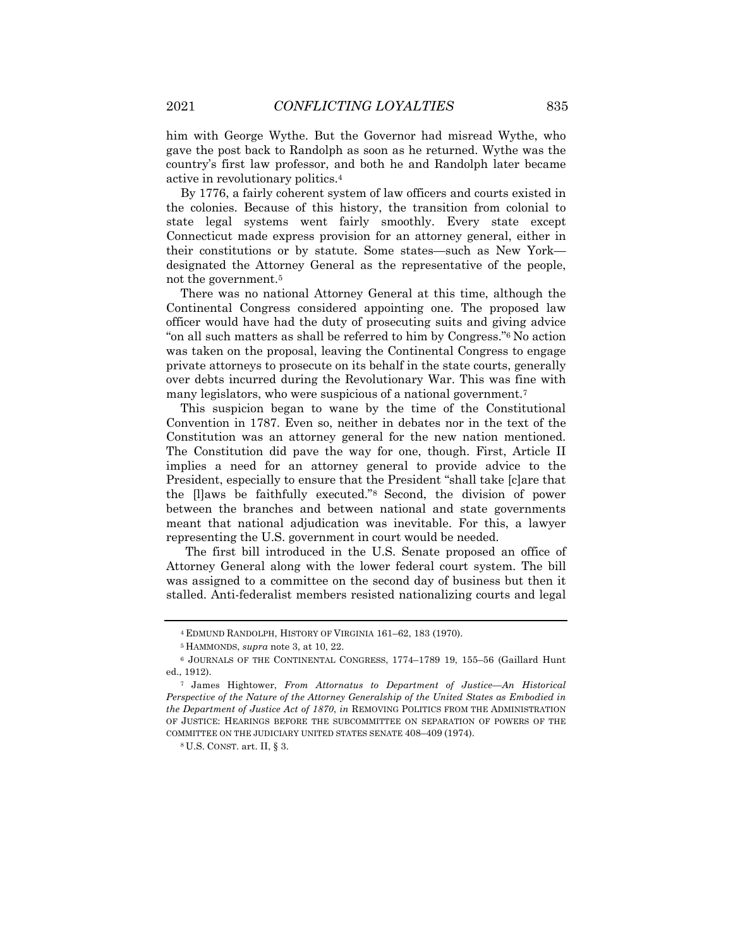him with George Wythe. But the Governor had misread Wythe, who gave the post back to Randolph as soon as he returned. Wythe was the country's first law professor, and both he and Randolph later became active in revolutionary politics.4

By 1776, a fairly coherent system of law officers and courts existed in the colonies. Because of this history, the transition from colonial to state legal systems went fairly smoothly. Every state except Connecticut made express provision for an attorney general, either in their constitutions or by statute. Some states—such as New York designated the Attorney General as the representative of the people, not the government.5

There was no national Attorney General at this time, although the Continental Congress considered appointing one. The proposed law officer would have had the duty of prosecuting suits and giving advice "on all such matters as shall be referred to him by Congress."6 No action was taken on the proposal, leaving the Continental Congress to engage private attorneys to prosecute on its behalf in the state courts, generally over debts incurred during the Revolutionary War. This was fine with many legislators, who were suspicious of a national government.7

This suspicion began to wane by the time of the Constitutional Convention in 1787. Even so, neither in debates nor in the text of the Constitution was an attorney general for the new nation mentioned. The Constitution did pave the way for one, though. First, Article II implies a need for an attorney general to provide advice to the President, especially to ensure that the President "shall take [c]are that the [l]aws be faithfully executed."8 Second, the division of power between the branches and between national and state governments meant that national adjudication was inevitable. For this, a lawyer representing the U.S. government in court would be needed.

The first bill introduced in the U.S. Senate proposed an office of Attorney General along with the lower federal court system. The bill was assigned to a committee on the second day of business but then it stalled. Anti-federalist members resisted nationalizing courts and legal

<sup>4</sup> EDMUND RANDOLPH, HISTORY OF VIRGINIA 161–62, 183 (1970).

<sup>5</sup> HAMMONDS, *supra* note 3, at 10, 22.

<sup>6</sup> JOURNALS OF THE CONTINENTAL CONGRESS, 1774–1789 19, 155–56 (Gaillard Hunt ed., 1912).

<sup>7</sup> James Hightower, *From Attornatus to Department of Justice—An Historical Perspective of the Nature of the Attorney Generalship of the United States as Embodied in the Department of Justice Act of 1870*, *in* REMOVING POLITICS FROM THE ADMINISTRATION OF JUSTICE: HEARINGS BEFORE THE SUBCOMMITTEE ON SEPARATION OF POWERS OF THE COMMITTEE ON THE JUDICIARY UNITED STATES SENATE 408–409 (1974).

<sup>8</sup> U.S. CONST. art. II, § 3.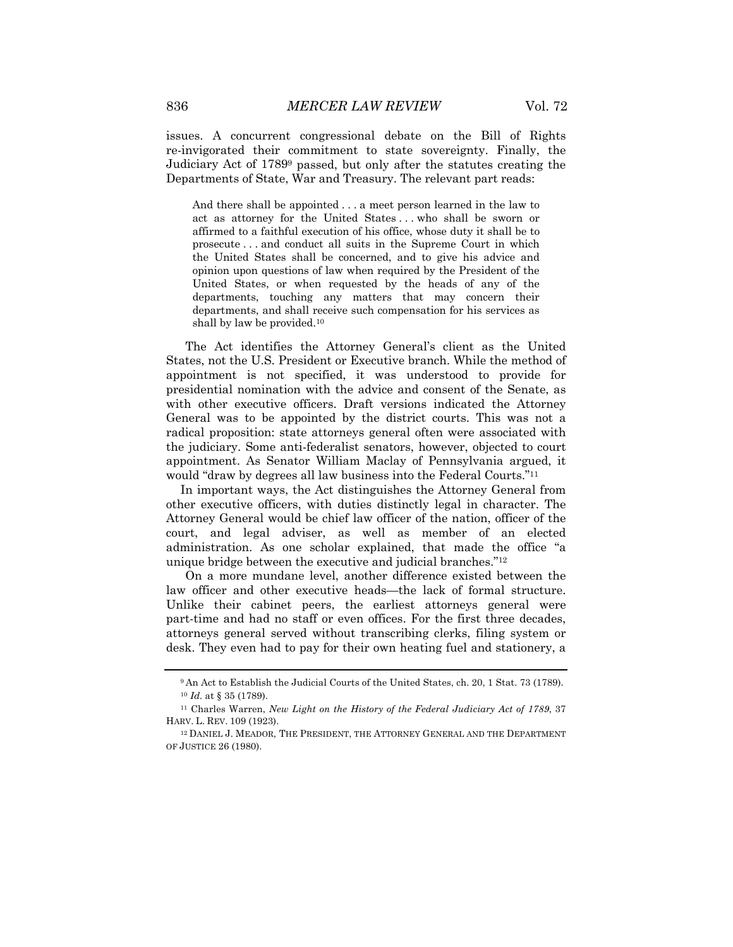issues. A concurrent congressional debate on the Bill of Rights re-invigorated their commitment to state sovereignty. Finally, the Judiciary Act of 17899 passed, but only after the statutes creating the Departments of State, War and Treasury. The relevant part reads:

And there shall be appointed . . . a meet person learned in the law to act as attorney for the United States . . . who shall be sworn or affirmed to a faithful execution of his office, whose duty it shall be to prosecute . . . and conduct all suits in the Supreme Court in which the United States shall be concerned, and to give his advice and opinion upon questions of law when required by the President of the United States, or when requested by the heads of any of the departments, touching any matters that may concern their departments, and shall receive such compensation for his services as shall by law be provided.10

The Act identifies the Attorney General's client as the United States, not the U.S. President or Executive branch. While the method of appointment is not specified, it was understood to provide for presidential nomination with the advice and consent of the Senate, as with other executive officers. Draft versions indicated the Attorney General was to be appointed by the district courts. This was not a radical proposition: state attorneys general often were associated with the judiciary. Some anti-federalist senators, however, objected to court appointment. As Senator William Maclay of Pennsylvania argued, it would "draw by degrees all law business into the Federal Courts."11

In important ways, the Act distinguishes the Attorney General from other executive officers, with duties distinctly legal in character. The Attorney General would be chief law officer of the nation, officer of the court, and legal adviser, as well as member of an elected administration. As one scholar explained, that made the office "a unique bridge between the executive and judicial branches."12

On a more mundane level, another difference existed between the law officer and other executive heads—the lack of formal structure. Unlike their cabinet peers, the earliest attorneys general were part-time and had no staff or even offices. For the first three decades, attorneys general served without transcribing clerks, filing system or desk. They even had to pay for their own heating fuel and stationery, a

<sup>9</sup> An Act to Establish the Judicial Courts of the United States, ch. 20, 1 Stat. 73 (1789). <sup>10</sup> *Id.* at § 35 (1789).

<sup>11</sup> Charles Warren, *New Light on the History of the Federal Judiciary Act of 1789*, 37 HARV. L. REV. 109 (1923).

<sup>12</sup> DANIEL J. MEADOR, THE PRESIDENT, THE ATTORNEY GENERAL AND THE DEPARTMENT OF JUSTICE 26 (1980).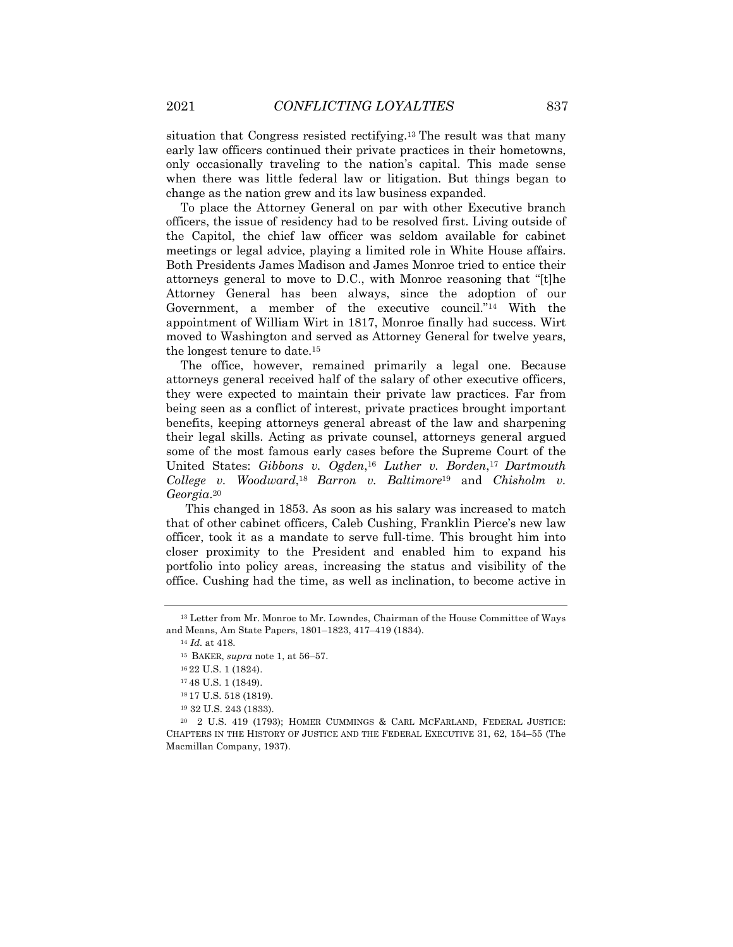situation that Congress resisted rectifying.13 The result was that many early law officers continued their private practices in their hometowns, only occasionally traveling to the nation's capital. This made sense when there was little federal law or litigation. But things began to change as the nation grew and its law business expanded.

To place the Attorney General on par with other Executive branch officers, the issue of residency had to be resolved first. Living outside of the Capitol, the chief law officer was seldom available for cabinet meetings or legal advice, playing a limited role in White House affairs. Both Presidents James Madison and James Monroe tried to entice their attorneys general to move to D.C., with Monroe reasoning that "[t]he Attorney General has been always, since the adoption of our Government, a member of the executive council."14 With the appointment of William Wirt in 1817, Monroe finally had success. Wirt moved to Washington and served as Attorney General for twelve years, the longest tenure to date.15

The office, however, remained primarily a legal one. Because attorneys general received half of the salary of other executive officers, they were expected to maintain their private law practices. Far from being seen as a conflict of interest, private practices brought important benefits, keeping attorneys general abreast of the law and sharpening their legal skills. Acting as private counsel, attorneys general argued some of the most famous early cases before the Supreme Court of the United States: *Gibbons v. Ogden*,16 *Luther v. Borden*,17 *Dartmouth College v. Woodward*,18 *Barron v. Baltimore*<sup>19</sup> and *Chisholm v. Georgia*.20

This changed in 1853. As soon as his salary was increased to match that of other cabinet officers, Caleb Cushing, Franklin Pierce's new law officer, took it as a mandate to serve full-time. This brought him into closer proximity to the President and enabled him to expand his portfolio into policy areas, increasing the status and visibility of the office. Cushing had the time, as well as inclination, to become active in

<sup>14</sup> *Id.* at 418.

<sup>13</sup> Letter from Mr. Monroe to Mr. Lowndes, Chairman of the House Committee of Ways and Means, Am State Papers, 1801–1823, 417–419 (1834).

<sup>15</sup> BAKER, *supra* note 1, at 56–57.

<sup>16</sup> 22 U.S. 1 (1824).

<sup>17</sup> 48 U.S. 1 (1849).

<sup>18</sup> 17 U.S. 518 (1819).

<sup>19</sup> 32 U.S. 243 (1833).

<sup>20</sup> 2 U.S. 419 (1793); HOMER CUMMINGS & CARL MCFARLAND, FEDERAL JUSTICE: CHAPTERS IN THE HISTORY OF JUSTICE AND THE FEDERAL EXECUTIVE 31, 62, 154–55 (The Macmillan Company, 1937).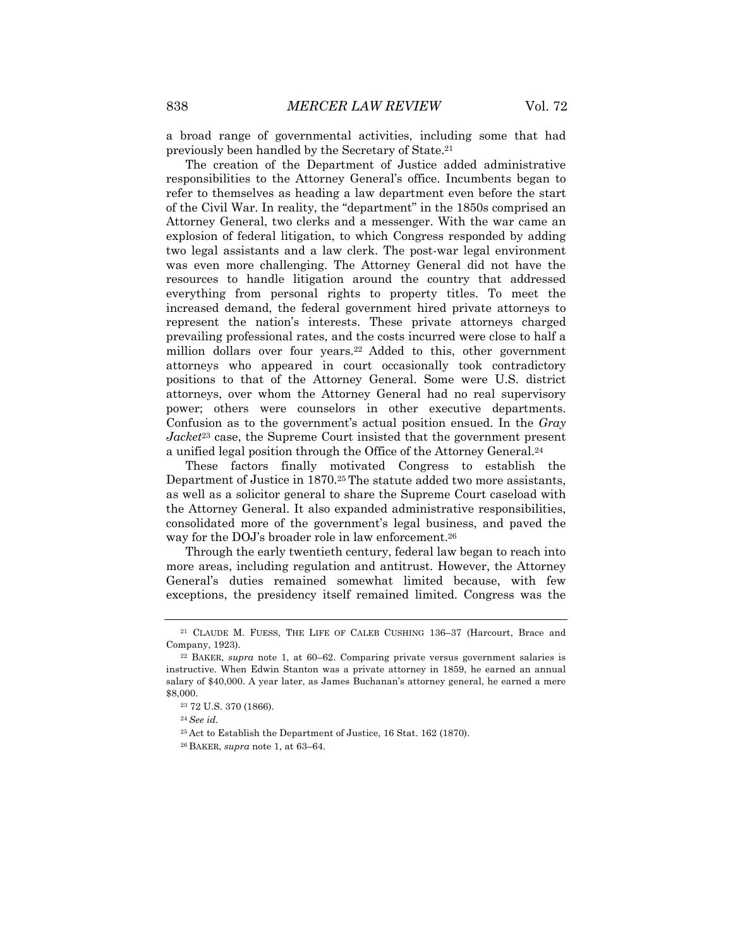a broad range of governmental activities, including some that had previously been handled by the Secretary of State.21

The creation of the Department of Justice added administrative responsibilities to the Attorney General's office. Incumbents began to refer to themselves as heading a law department even before the start of the Civil War. In reality, the "department" in the 1850s comprised an Attorney General, two clerks and a messenger. With the war came an explosion of federal litigation, to which Congress responded by adding two legal assistants and a law clerk. The post-war legal environment was even more challenging. The Attorney General did not have the resources to handle litigation around the country that addressed everything from personal rights to property titles. To meet the increased demand, the federal government hired private attorneys to represent the nation's interests. These private attorneys charged prevailing professional rates, and the costs incurred were close to half a million dollars over four years.22 Added to this, other government attorneys who appeared in court occasionally took contradictory positions to that of the Attorney General. Some were U.S. district attorneys, over whom the Attorney General had no real supervisory power; others were counselors in other executive departments. Confusion as to the government's actual position ensued. In the *Gray Jacket*<sup>23</sup> case, the Supreme Court insisted that the government present a unified legal position through the Office of the Attorney General.24

These factors finally motivated Congress to establish the Department of Justice in 1870.25 The statute added two more assistants, as well as a solicitor general to share the Supreme Court caseload with the Attorney General. It also expanded administrative responsibilities, consolidated more of the government's legal business, and paved the way for the DOJ's broader role in law enforcement.26

Through the early twentieth century, federal law began to reach into more areas, including regulation and antitrust. However, the Attorney General's duties remained somewhat limited because, with few exceptions, the presidency itself remained limited. Congress was the

<sup>21</sup> CLAUDE M. FUESS, THE LIFE OF CALEB CUSHING 136–37 (Harcourt, Brace and Company, 1923).

<sup>22</sup> BAKER, *supra* note 1, at 60–62. Comparing private versus government salaries is instructive. When Edwin Stanton was a private attorney in 1859, he earned an annual salary of \$40,000. A year later, as James Buchanan's attorney general, he earned a mere \$8,000.

<sup>23</sup> 72 U.S. 370 (1866).

<sup>24</sup> *See id.*

<sup>25</sup> Act to Establish the Department of Justice, 16 Stat. 162 (1870).

<sup>26</sup> BAKER, *supra* note 1, at 63–64.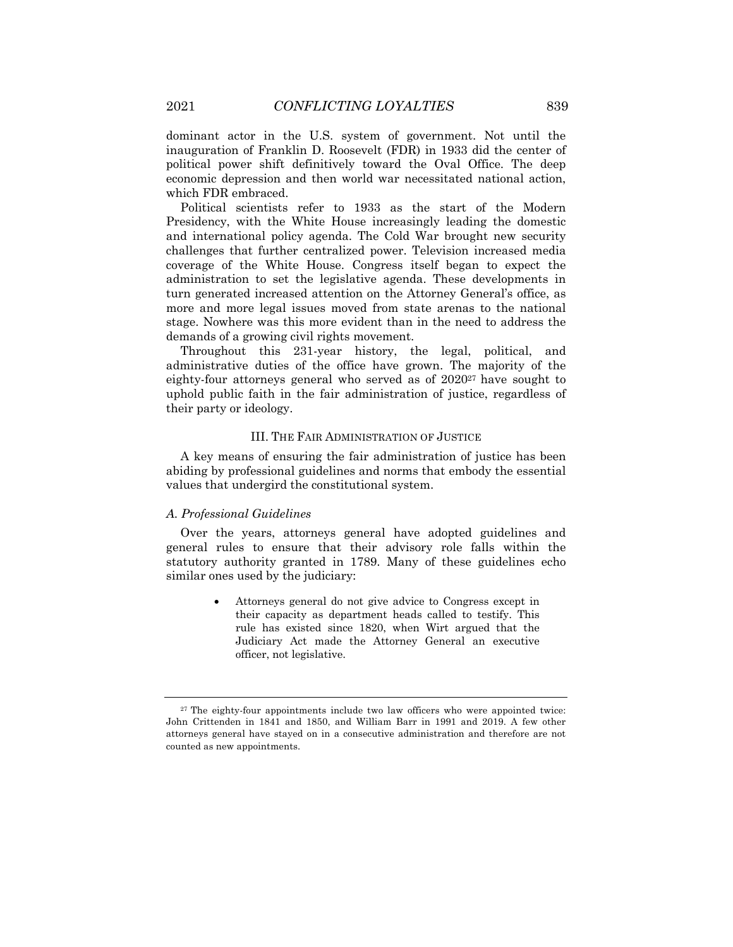dominant actor in the U.S. system of government. Not until the inauguration of Franklin D. Roosevelt (FDR) in 1933 did the center of political power shift definitively toward the Oval Office. The deep economic depression and then world war necessitated national action, which FDR embraced.

Political scientists refer to 1933 as the start of the Modern Presidency, with the White House increasingly leading the domestic and international policy agenda. The Cold War brought new security challenges that further centralized power. Television increased media coverage of the White House. Congress itself began to expect the administration to set the legislative agenda. These developments in turn generated increased attention on the Attorney General's office, as more and more legal issues moved from state arenas to the national stage. Nowhere was this more evident than in the need to address the demands of a growing civil rights movement.

Throughout this 231-year history, the legal, political, and administrative duties of the office have grown. The majority of the eighty-four attorneys general who served as of 202027 have sought to uphold public faith in the fair administration of justice, regardless of their party or ideology.

#### III. THE FAIR ADMINISTRATION OF JUSTICE

A key means of ensuring the fair administration of justice has been abiding by professional guidelines and norms that embody the essential values that undergird the constitutional system.

#### *A. Professional Guidelines*

Over the years, attorneys general have adopted guidelines and general rules to ensure that their advisory role falls within the statutory authority granted in 1789. Many of these guidelines echo similar ones used by the judiciary:

> • Attorneys general do not give advice to Congress except in their capacity as department heads called to testify. This rule has existed since 1820, when Wirt argued that the Judiciary Act made the Attorney General an executive officer, not legislative.

<sup>&</sup>lt;sup>27</sup> The eighty-four appointments include two law officers who were appointed twice: John Crittenden in 1841 and 1850, and William Barr in 1991 and 2019. A few other attorneys general have stayed on in a consecutive administration and therefore are not counted as new appointments.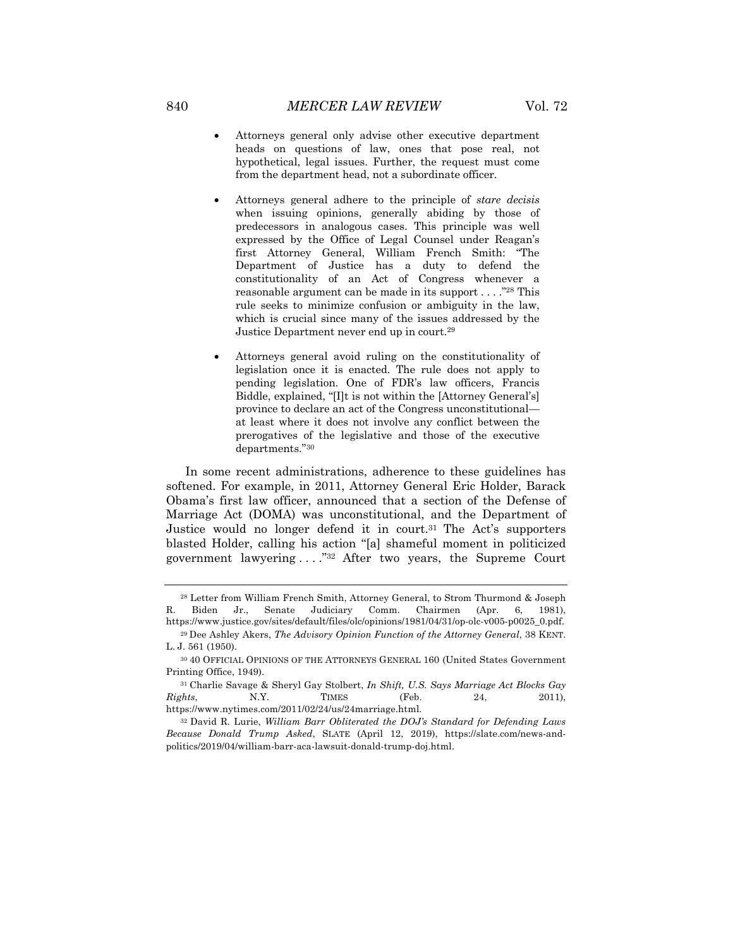- Attorneys general only advise other executive department heads on questions of law, ones that pose real, not hypothetical, legal issues. Further, the request must come from the department head, not a subordinate officer.
- Attorneys general adhere to the principle of *stare decisis* when issuing opinions, generally abiding by those of predecessors in analogous cases. This principle was well expressed by the Office of Legal Counsel under Reagan's first Attorney General, William French Smith: "The Department of Justice has a duty to defend the constitutionality of an Act of Congress whenever a reasonable argument can be made in its support . . . ."28 This rule seeks to minimize confusion or ambiguity in the law, which is crucial since many of the issues addressed by the Justice Department never end up in court.29
- Attorneys general avoid ruling on the constitutionality of legislation once it is enacted. The rule does not apply to pending legislation. One of FDR's law officers, Francis Biddle, explained, "[I]t is not within the [Attorney General's] province to declare an act of the Congress unconstitutional at least where it does not involve any conflict between the prerogatives of the legislative and those of the executive departments."30

In some recent administrations, adherence to these guidelines has softened. For example, in 2011, Attorney General Eric Holder, Barack Obama's first law officer, announced that a section of the Defense of Marriage Act (DOMA) was unconstitutional, and the Department of Justice would no longer defend it in court.31 The Act's supporters blasted Holder, calling his action "[a] shameful moment in politicized government lawyering . . . ."32 After two years, the Supreme Court

<sup>28</sup> Letter from William French Smith, Attorney General, to Strom Thurmond & Joseph R. Biden Jr., Senate Judiciary Comm. Chairmen (Apr. 6, 1981), https://www.justice.gov/sites/default/files/olc/opinions/1981/04/31/op-olc-v005-p0025\_0.pdf.

<sup>29</sup> Dee Ashley Akers, *The Advisory Opinion Function of the Attorney General*, 38 KENT. L. J. 561 (1950).

<sup>30</sup> 40 OFFICIAL OPINIONS OF THE ATTORNEYS GENERAL 160 (United States Government Printing Office, 1949).

<sup>31</sup> Charlie Savage & Sheryl Gay Stolbert, *In Shift, U.S. Says Marriage Act Blocks Gay Rights*, N.Y. TIMES (Feb. 24, 2011), https://www.nytimes.com/2011/02/24/us/24marriage.html.

<sup>32</sup> David R. Lurie, *William Barr Obliterated the DOJ's Standard for Defending Laws Because Donald Trump Asked*, SLATE (April 12, 2019), https://slate.com/news-andpolitics/2019/04/william-barr-aca-lawsuit-donald-trump-doj.html.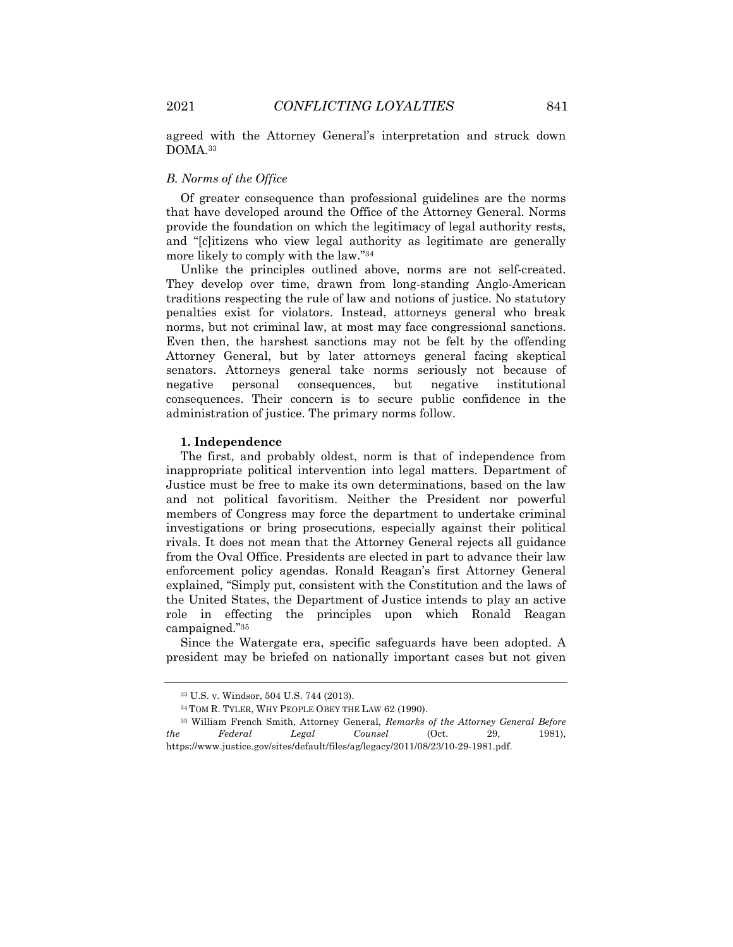agreed with the Attorney General's interpretation and struck down DOMA.33

#### *B. Norms of the Office*

Of greater consequence than professional guidelines are the norms that have developed around the Office of the Attorney General. Norms provide the foundation on which the legitimacy of legal authority rests, and "[c]itizens who view legal authority as legitimate are generally more likely to comply with the law."34

Unlike the principles outlined above, norms are not self-created. They develop over time, drawn from long-standing Anglo-American traditions respecting the rule of law and notions of justice. No statutory penalties exist for violators. Instead, attorneys general who break norms, but not criminal law, at most may face congressional sanctions. Even then, the harshest sanctions may not be felt by the offending Attorney General, but by later attorneys general facing skeptical senators. Attorneys general take norms seriously not because of negative personal consequences, but negative institutional consequences. Their concern is to secure public confidence in the administration of justice. The primary norms follow.

#### **1. Independence**

The first, and probably oldest, norm is that of independence from inappropriate political intervention into legal matters. Department of Justice must be free to make its own determinations, based on the law and not political favoritism. Neither the President nor powerful members of Congress may force the department to undertake criminal investigations or bring prosecutions, especially against their political rivals. It does not mean that the Attorney General rejects all guidance from the Oval Office. Presidents are elected in part to advance their law enforcement policy agendas. Ronald Reagan's first Attorney General explained, "Simply put, consistent with the Constitution and the laws of the United States, the Department of Justice intends to play an active role in effecting the principles upon which Ronald Reagan campaigned."35

Since the Watergate era, specific safeguards have been adopted. A president may be briefed on nationally important cases but not given

<sup>33</sup> U.S. v. Windsor, 504 U.S. 744 (2013).

<sup>34</sup> TOM R. TYLER, WHY PEOPLE OBEY THE LAW 62 (1990).

<sup>35</sup> William French Smith, Attorney General, *Remarks of the Attorney General Before the Federal Legal Counsel* (Oct. 29, 1981), https://www.justice.gov/sites/default/files/ag/legacy/2011/08/23/10-29-1981.pdf.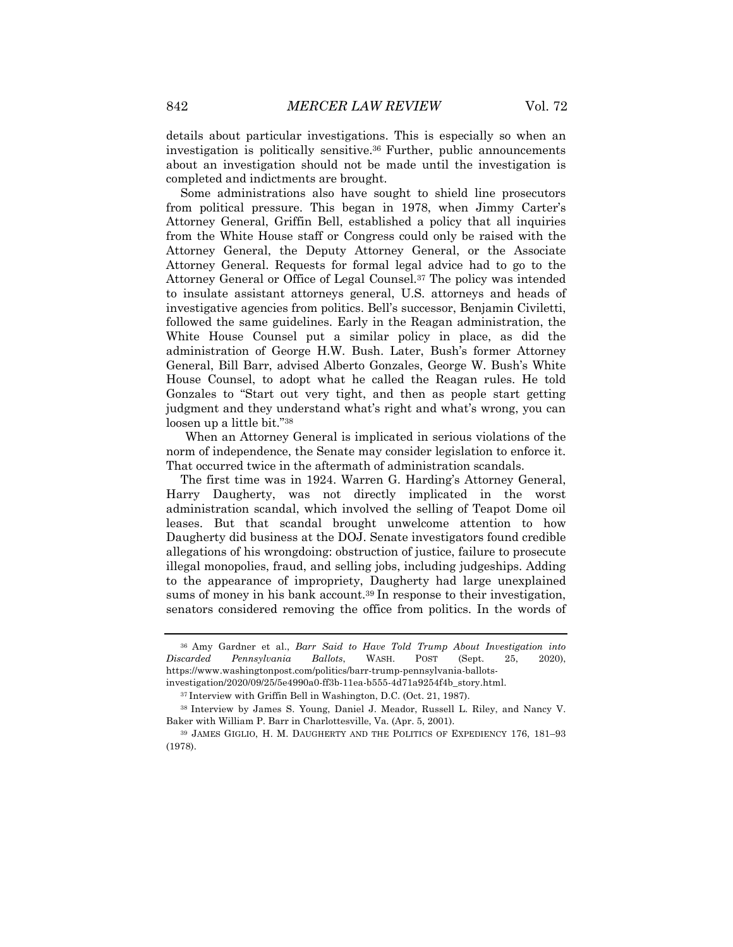details about particular investigations. This is especially so when an investigation is politically sensitive.36 Further, public announcements about an investigation should not be made until the investigation is completed and indictments are brought.

Some administrations also have sought to shield line prosecutors from political pressure. This began in 1978, when Jimmy Carter's Attorney General, Griffin Bell, established a policy that all inquiries from the White House staff or Congress could only be raised with the Attorney General, the Deputy Attorney General, or the Associate Attorney General. Requests for formal legal advice had to go to the Attorney General or Office of Legal Counsel.37 The policy was intended to insulate assistant attorneys general, U.S. attorneys and heads of investigative agencies from politics. Bell's successor, Benjamin Civiletti, followed the same guidelines. Early in the Reagan administration, the White House Counsel put a similar policy in place, as did the administration of George H.W. Bush. Later, Bush's former Attorney General, Bill Barr, advised Alberto Gonzales, George W. Bush's White House Counsel, to adopt what he called the Reagan rules. He told Gonzales to "Start out very tight, and then as people start getting judgment and they understand what's right and what's wrong, you can loosen up a little bit."38

When an Attorney General is implicated in serious violations of the norm of independence, the Senate may consider legislation to enforce it. That occurred twice in the aftermath of administration scandals.

The first time was in 1924. Warren G. Harding's Attorney General, Harry Daugherty, was not directly implicated in the worst administration scandal, which involved the selling of Teapot Dome oil leases. But that scandal brought unwelcome attention to how Daugherty did business at the DOJ. Senate investigators found credible allegations of his wrongdoing: obstruction of justice, failure to prosecute illegal monopolies, fraud, and selling jobs, including judgeships. Adding to the appearance of impropriety, Daugherty had large unexplained sums of money in his bank account.39 In response to their investigation, senators considered removing the office from politics. In the words of

<sup>36</sup> Amy Gardner et al., *Barr Said to Have Told Trump About Investigation into Discarded Pennsylvania Ballots*, WASH. POST (Sept. 25, 2020), https://www.washingtonpost.com/politics/barr-trump-pennsylvania-ballotsinvestigation/2020/09/25/5e4990a0-ff3b-11ea-b555-4d71a9254f4b\_story.html.

<sup>37</sup> Interview with Griffin Bell in Washington, D.C. (Oct. 21, 1987).

<sup>38</sup> Interview by James S. Young, Daniel J. Meador, Russell L. Riley, and Nancy V. Baker with William P. Barr in Charlottesville, Va. (Apr. 5, 2001).

<sup>39</sup> JAMES GIGLIO, H. M. DAUGHERTY AND THE POLITICS OF EXPEDIENCY 176, 181–93 (1978).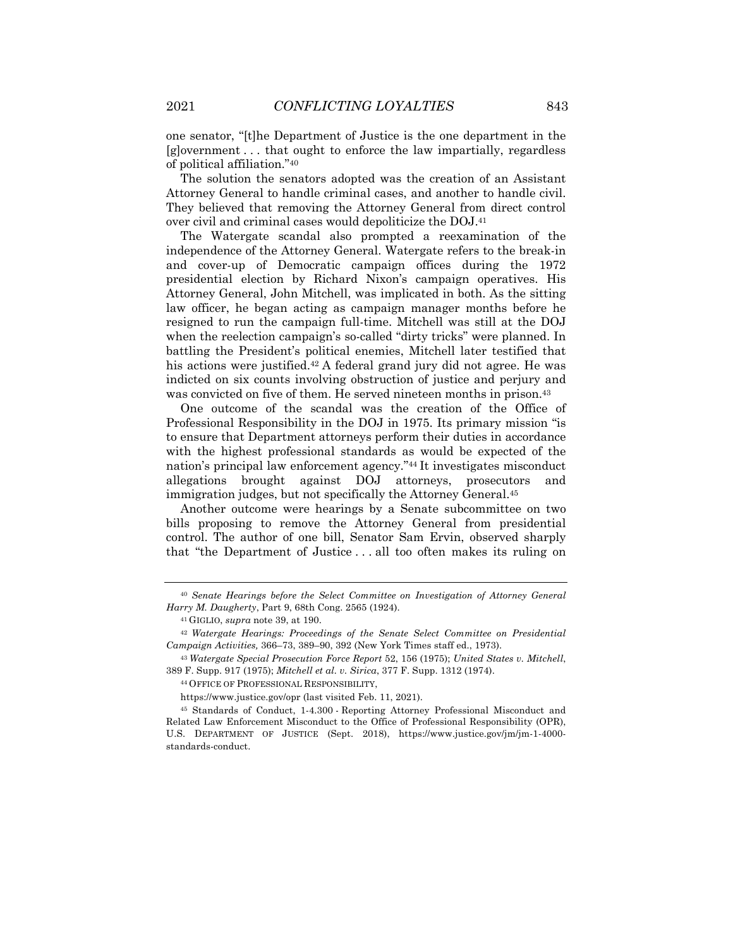one senator, "[t]he Department of Justice is the one department in the [g]overnment . . . that ought to enforce the law impartially, regardless of political affiliation."40

The solution the senators adopted was the creation of an Assistant Attorney General to handle criminal cases, and another to handle civil. They believed that removing the Attorney General from direct control over civil and criminal cases would depoliticize the DOJ.41

The Watergate scandal also prompted a reexamination of the independence of the Attorney General. Watergate refers to the break-in and cover-up of Democratic campaign offices during the 1972 presidential election by Richard Nixon's campaign operatives. His Attorney General, John Mitchell, was implicated in both. As the sitting law officer, he began acting as campaign manager months before he resigned to run the campaign full-time. Mitchell was still at the DOJ when the reelection campaign's so-called "dirty tricks" were planned. In battling the President's political enemies, Mitchell later testified that his actions were justified.42 A federal grand jury did not agree. He was indicted on six counts involving obstruction of justice and perjury and was convicted on five of them. He served nineteen months in prison.<sup>43</sup>

One outcome of the scandal was the creation of the Office of Professional Responsibility in the DOJ in 1975. Its primary mission "is to ensure that Department attorneys perform their duties in accordance with the highest professional standards as would be expected of the nation's principal law enforcement agency."44 It investigates misconduct allegations brought against DOJ attorneys, prosecutors and immigration judges, but not specifically the Attorney General.45

Another outcome were hearings by a Senate subcommittee on two bills proposing to remove the Attorney General from presidential control. The author of one bill, Senator Sam Ervin, observed sharply that "the Department of Justice . . . all too often makes its ruling on

<sup>40</sup> *Senate Hearings before the Select Committee on Investigation of Attorney General Harry M. Daugherty*, Part 9, 68th Cong. 2565 (1924).

<sup>41</sup> GIGLIO, *supra* note 39, at 190.

<sup>42</sup> *Watergate Hearings: Proceedings of the Senate Select Committee on Presidential Campaign Activities,* 366–73, 389–90, 392 (New York Times staff ed., 1973).

<sup>43</sup> *Watergate Special Prosecution Force Report* 52, 156 (1975); *United States v. Mitchell*, 389 F. Supp. 917 (1975); *Mitchell et al. v. Sirica*, 377 F. Supp. 1312 (1974).

<sup>44</sup> OFFICE OF PROFESSIONAL RESPONSIBILITY,

https://www.justice.gov/opr (last visited Feb. 11, 2021).

<sup>45</sup> Standards of Conduct, 1-4.300 - Reporting Attorney Professional Misconduct and Related Law Enforcement Misconduct to the Office of Professional Responsibility (OPR), U.S. DEPARTMENT OF JUSTICE (Sept. 2018), https://www.justice.gov/jm/jm-1-4000 standards-conduct.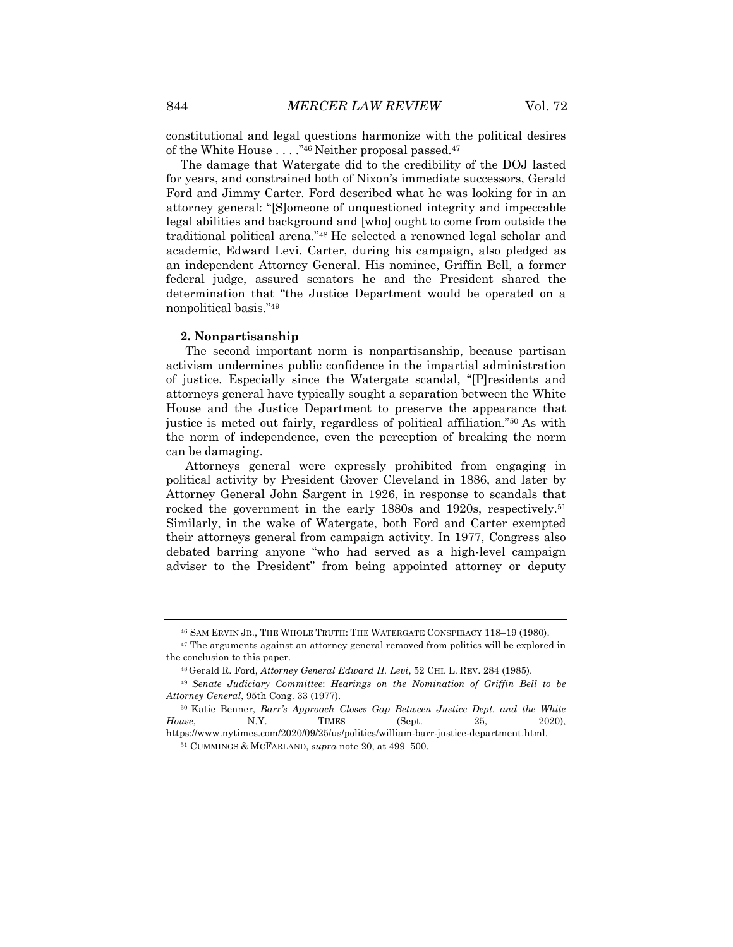constitutional and legal questions harmonize with the political desires of the White House . . . ."46 Neither proposal passed.47

The damage that Watergate did to the credibility of the DOJ lasted for years, and constrained both of Nixon's immediate successors, Gerald Ford and Jimmy Carter. Ford described what he was looking for in an attorney general: "[S]omeone of unquestioned integrity and impeccable legal abilities and background and [who] ought to come from outside the traditional political arena."48 He selected a renowned legal scholar and academic, Edward Levi. Carter, during his campaign, also pledged as an independent Attorney General. His nominee, Griffin Bell, a former federal judge, assured senators he and the President shared the determination that "the Justice Department would be operated on a nonpolitical basis."49

#### **2. Nonpartisanship**

The second important norm is nonpartisanship, because partisan activism undermines public confidence in the impartial administration of justice. Especially since the Watergate scandal, "[P]residents and attorneys general have typically sought a separation between the White House and the Justice Department to preserve the appearance that justice is meted out fairly, regardless of political affiliation."50 As with the norm of independence, even the perception of breaking the norm can be damaging.

Attorneys general were expressly prohibited from engaging in political activity by President Grover Cleveland in 1886, and later by Attorney General John Sargent in 1926, in response to scandals that rocked the government in the early 1880s and 1920s, respectively.<sup>51</sup> Similarly, in the wake of Watergate, both Ford and Carter exempted their attorneys general from campaign activity. In 1977, Congress also debated barring anyone "who had served as a high-level campaign adviser to the President" from being appointed attorney or deputy

<sup>46</sup> SAM ERVIN JR., THE WHOLE TRUTH: THE WATERGATE CONSPIRACY 118–19 (1980).

<sup>47</sup> The arguments against an attorney general removed from politics will be explored in the conclusion to this paper.

<sup>48</sup> Gerald R. Ford, *Attorney General Edward H. Levi*, 52 CHI. L. REV. 284 (1985).

<sup>49</sup> *Senate Judiciary Committee*: *Hearings on the Nomination of Griffin Bell to be Attorney General*, 95th Cong. 33 (1977).

<sup>50</sup> Katie Benner, *Barr's Approach Closes Gap Between Justice Dept. and the White House*, **N.Y.** TIMES (Sept. 25, 2020), https://www.nytimes.com/2020/09/25/us/politics/william-barr-justice-department.html.

<sup>51</sup> CUMMINGS & MCFARLAND, *supra* note 20, at 499–500.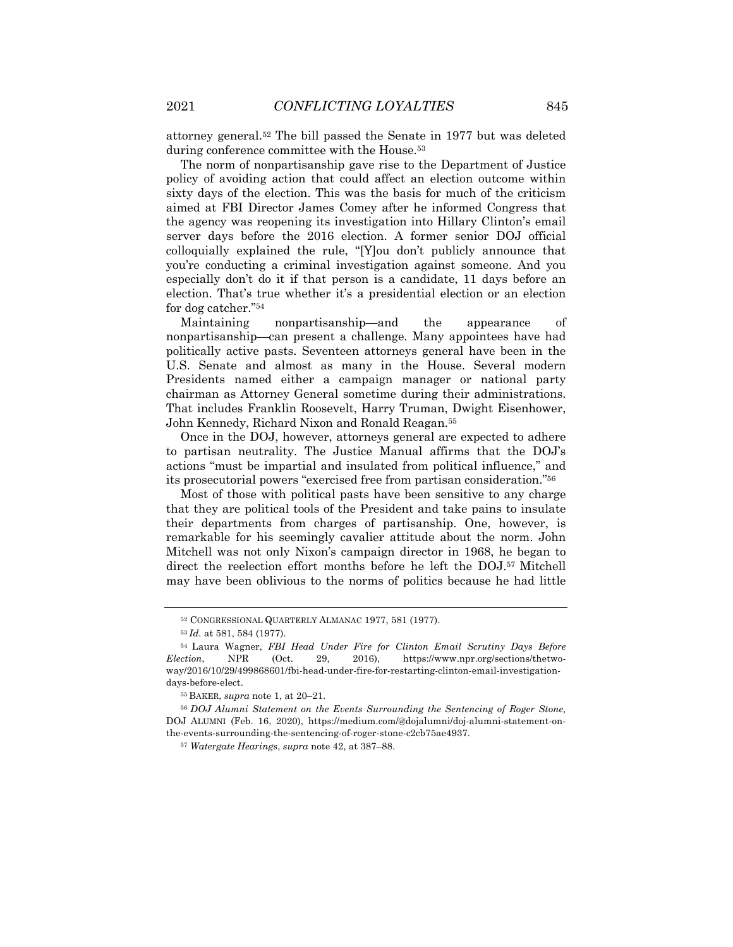attorney general.52 The bill passed the Senate in 1977 but was deleted during conference committee with the House.<sup>53</sup>

The norm of nonpartisanship gave rise to the Department of Justice policy of avoiding action that could affect an election outcome within sixty days of the election. This was the basis for much of the criticism aimed at FBI Director James Comey after he informed Congress that the agency was reopening its investigation into Hillary Clinton's email server days before the 2016 election. A former senior DOJ official colloquially explained the rule, "[Y]ou don't publicly announce that you're conducting a criminal investigation against someone. And you especially don't do it if that person is a candidate, 11 days before an election. That's true whether it's a presidential election or an election for dog catcher."54

Maintaining nonpartisanship—and the appearance of nonpartisanship—can present a challenge. Many appointees have had politically active pasts. Seventeen attorneys general have been in the U.S. Senate and almost as many in the House. Several modern Presidents named either a campaign manager or national party chairman as Attorney General sometime during their administrations. That includes Franklin Roosevelt, Harry Truman, Dwight Eisenhower, John Kennedy, Richard Nixon and Ronald Reagan.55

Once in the DOJ, however, attorneys general are expected to adhere to partisan neutrality. The Justice Manual affirms that the DOJ's actions "must be impartial and insulated from political influence," and its prosecutorial powers "exercised free from partisan consideration."56

Most of those with political pasts have been sensitive to any charge that they are political tools of the President and take pains to insulate their departments from charges of partisanship. One, however, is remarkable for his seemingly cavalier attitude about the norm. John Mitchell was not only Nixon's campaign director in 1968, he began to direct the reelection effort months before he left the DOJ.57 Mitchell may have been oblivious to the norms of politics because he had little

<sup>55</sup> BAKER, *supra* note 1, at 20–21.

<sup>52</sup> CONGRESSIONAL QUARTERLY ALMANAC 1977, 581 (1977).

<sup>53</sup> *Id.* at 581, 584 (1977).

<sup>54</sup> Laura Wagner, *FBI Head Under Fire for Clinton Email Scrutiny Days Before Election*, NPR (Oct. 29, 2016), https://www.npr.org/sections/thetwoway/2016/10/29/499868601/fbi-head-under-fire-for-restarting-clinton-email-investigationdays-before-elect.

<sup>56</sup> *DOJ Alumni Statement on the Events Surrounding the Sentencing of Roger Stone,* DOJ ALUMNI (Feb. 16, 2020), https://medium.com/@dojalumni/doj-alumni-statement-onthe-events-surrounding-the-sentencing-of-roger-stone-c2cb75ae4937.

<sup>57</sup> *Watergate Hearings*, *supra* note 42, at 387–88.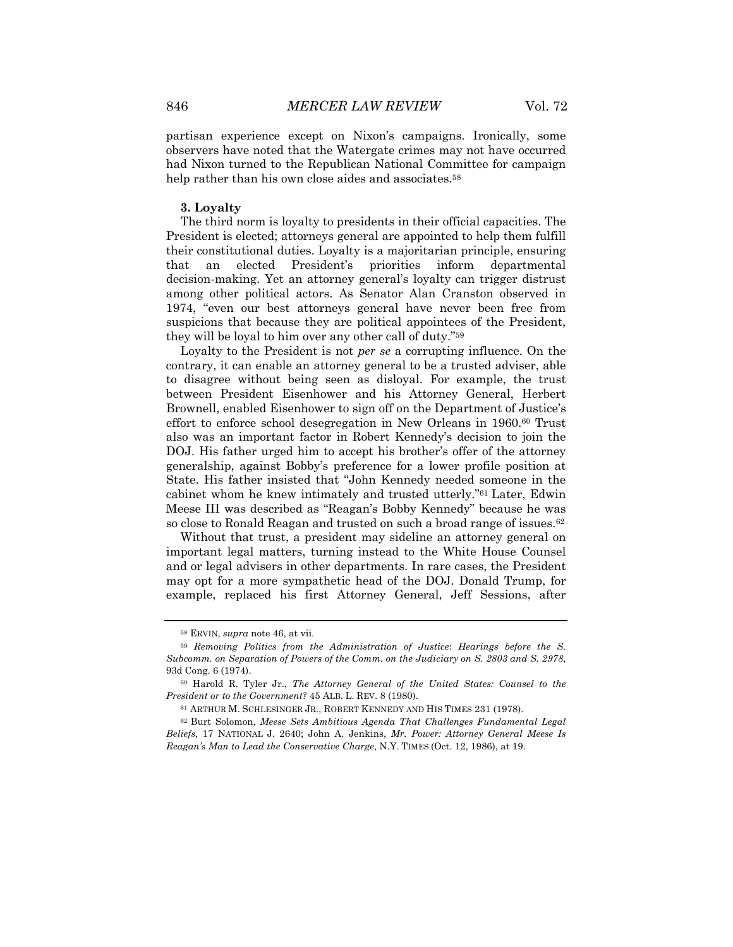partisan experience except on Nixon's campaigns. Ironically, some observers have noted that the Watergate crimes may not have occurred had Nixon turned to the Republican National Committee for campaign help rather than his own close aides and associates.<sup>58</sup>

#### **3. Loyalty**

The third norm is loyalty to presidents in their official capacities. The President is elected; attorneys general are appointed to help them fulfill their constitutional duties. Loyalty is a majoritarian principle, ensuring that an elected President's priorities inform departmental decision-making. Yet an attorney general's loyalty can trigger distrust among other political actors. As Senator Alan Cranston observed in 1974, "even our best attorneys general have never been free from suspicions that because they are political appointees of the President, they will be loyal to him over any other call of duty."59

Loyalty to the President is not *per se* a corrupting influence. On the contrary, it can enable an attorney general to be a trusted adviser, able to disagree without being seen as disloyal. For example, the trust between President Eisenhower and his Attorney General, Herbert Brownell, enabled Eisenhower to sign off on the Department of Justice's effort to enforce school desegregation in New Orleans in 1960.60 Trust also was an important factor in Robert Kennedy's decision to join the DOJ. His father urged him to accept his brother's offer of the attorney generalship, against Bobby's preference for a lower profile position at State. His father insisted that "John Kennedy needed someone in the cabinet whom he knew intimately and trusted utterly."61 Later, Edwin Meese III was described as "Reagan's Bobby Kennedy" because he was so close to Ronald Reagan and trusted on such a broad range of issues.<sup>62</sup>

Without that trust, a president may sideline an attorney general on important legal matters, turning instead to the White House Counsel and or legal advisers in other departments. In rare cases, the President may opt for a more sympathetic head of the DOJ. Donald Trump, for example, replaced his first Attorney General, Jeff Sessions, after

<sup>58</sup> ERVIN, *supra* note 46, at vii.

<sup>59</sup> *Removing Politics from the Administration of Justice*: *Hearings before the S. Subcomm. on Separation of Powers of the Comm. on the Judiciary on S. 2803 and S. 2978*, 93d Cong. 6 (1974).

<sup>60</sup> Harold R. Tyler Jr., *The Attorney General of the United States: Counsel to the President or to the Government?* 45 ALB. L. REV. 8 (1980).

<sup>61</sup> ARTHUR M. SCHLESINGER JR., ROBERT KENNEDY AND HIS TIMES 231 (1978).

<sup>62</sup> Burt Solomon, *Meese Sets Ambitious Agenda That Challenges Fundamental Legal Beliefs*, 17 NATIONAL J. 2640; John A. Jenkins, *Mr. Power: Attorney General Meese Is Reagan's Man to Lead the Conservative Charge*, N.Y. TIMES (Oct. 12, 1986), at 19.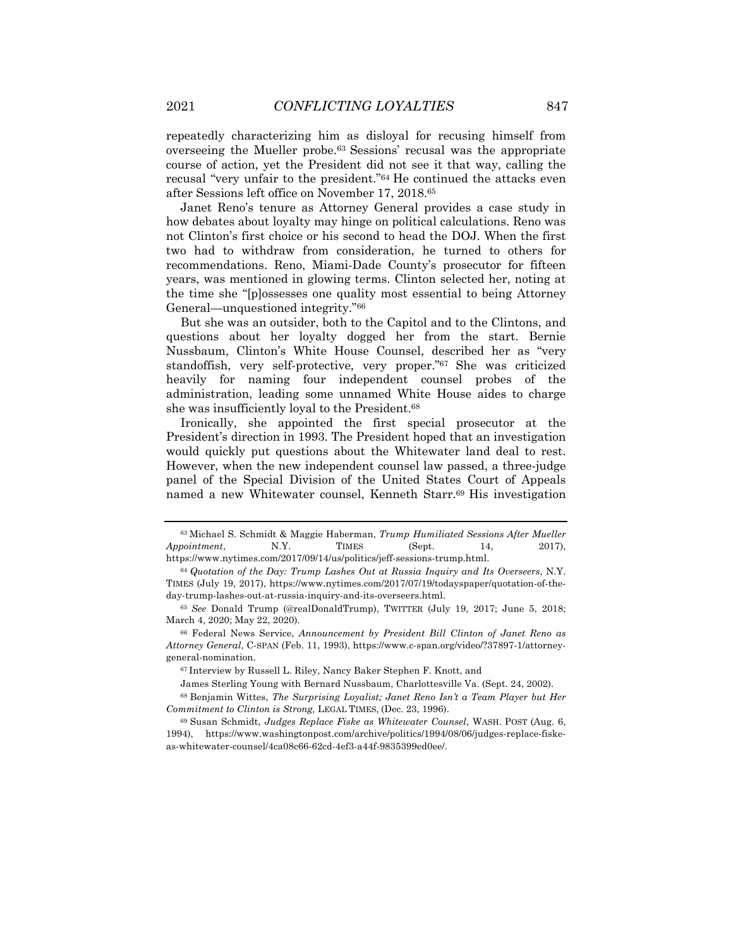repeatedly characterizing him as disloyal for recusing himself from overseeing the Mueller probe.63 Sessions' recusal was the appropriate course of action, yet the President did not see it that way, calling the recusal "very unfair to the president."64 He continued the attacks even after Sessions left office on November 17, 2018.65

Janet Reno's tenure as Attorney General provides a case study in how debates about loyalty may hinge on political calculations. Reno was not Clinton's first choice or his second to head the DOJ. When the first two had to withdraw from consideration, he turned to others for recommendations. Reno, Miami-Dade County's prosecutor for fifteen years, was mentioned in glowing terms. Clinton selected her, noting at the time she "[p]ossesses one quality most essential to being Attorney General—unquestioned integrity."66

But she was an outsider, both to the Capitol and to the Clintons, and questions about her loyalty dogged her from the start. Bernie Nussbaum, Clinton's White House Counsel, described her as "very standoffish, very self-protective, very proper."67 She was criticized heavily for naming four independent counsel probes of the administration, leading some unnamed White House aides to charge she was insufficiently loyal to the President.68

Ironically, she appointed the first special prosecutor at the President's direction in 1993. The President hoped that an investigation would quickly put questions about the Whitewater land deal to rest. However, when the new independent counsel law passed, a three-judge panel of the Special Division of the United States Court of Appeals named a new Whitewater counsel, Kenneth Starr.69 His investigation

<sup>63</sup> Michael S. Schmidt & Maggie Haberman, *Trump Humiliated Sessions After Mueller Appointment*, N.Y. TIMES (Sept. 14, 2017), https://www.nytimes.com/2017/09/14/us/politics/jeff-sessions-trump.html.

<sup>64</sup> *Quotation of the Day: Trump Lashes Out at Russia Inquiry and Its Overseers*, N.Y. TIMES (July 19, 2017), https://www.nytimes.com/2017/07/19/todayspaper/quotation-of-theday-trump-lashes-out-at-russia-inquiry-and-its-overseers.html.

<sup>65</sup> *See* Donald Trump (@realDonaldTrump), TWITTER (July 19, 2017; June 5, 2018; March 4, 2020; May 22, 2020).

<sup>66</sup> Federal News Service, *Announcement by President Bill Clinton of Janet Reno as Attorney General*, C-SPAN (Feb. 11, 1993), https://www.c-span.org/video/?37897-1/attorneygeneral-nomination.

<sup>67</sup> Interview by Russell L. Riley, Nancy Baker Stephen F. Knott, and

James Sterling Young with Bernard Nussbaum, Charlottesville Va. (Sept. 24, 2002).

<sup>68</sup> Benjamin Wittes, *The Surprising Loyalist; Janet Reno Isn't a Team Player but Her Commitment to Clinton is Strong,* LEGAL TIMES, (Dec. 23, 1996).

<sup>69</sup> Susan Schmidt, *Judges Replace Fiske as Whitewater Counsel*, WASH. POST (Aug. 6, 1994), https://www.washingtonpost.com/archive/politics/1994/08/06/judges-replace-fiskeas-whitewater-counsel/4ca08c66-62cd-4ef3-a44f-9835399ed0ee/.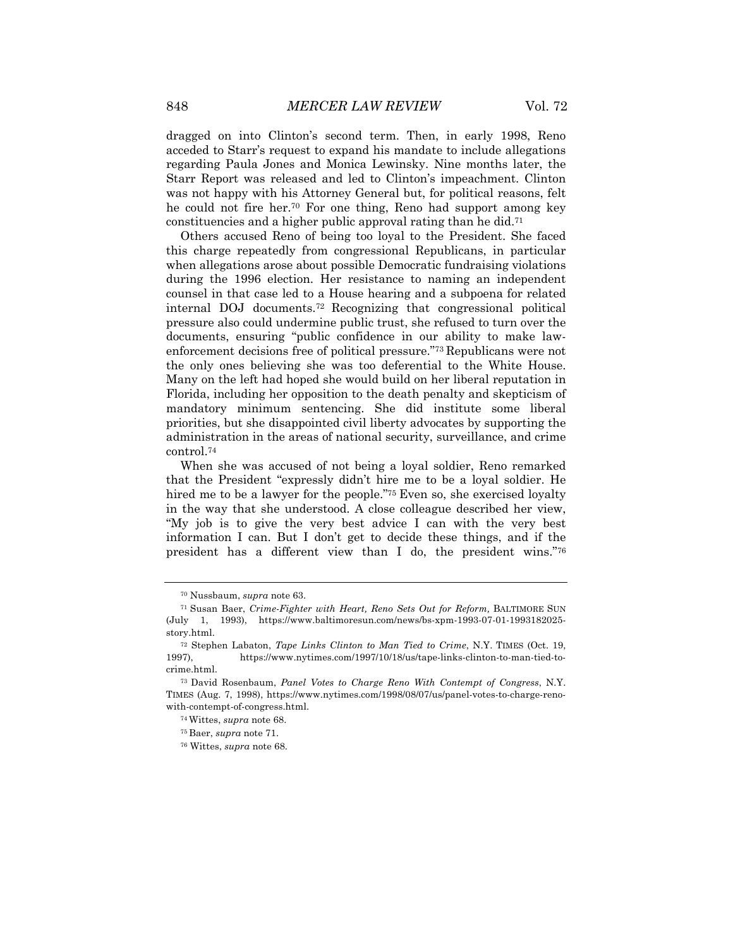dragged on into Clinton's second term. Then, in early 1998, Reno acceded to Starr's request to expand his mandate to include allegations regarding Paula Jones and Monica Lewinsky. Nine months later, the Starr Report was released and led to Clinton's impeachment. Clinton was not happy with his Attorney General but, for political reasons, felt he could not fire her.70 For one thing, Reno had support among key constituencies and a higher public approval rating than he did.71

Others accused Reno of being too loyal to the President. She faced this charge repeatedly from congressional Republicans, in particular when allegations arose about possible Democratic fundraising violations during the 1996 election. Her resistance to naming an independent counsel in that case led to a House hearing and a subpoena for related internal DOJ documents.72 Recognizing that congressional political pressure also could undermine public trust, she refused to turn over the documents, ensuring "public confidence in our ability to make lawenforcement decisions free of political pressure."73 Republicans were not the only ones believing she was too deferential to the White House. Many on the left had hoped she would build on her liberal reputation in Florida, including her opposition to the death penalty and skepticism of mandatory minimum sentencing. She did institute some liberal priorities, but she disappointed civil liberty advocates by supporting the administration in the areas of national security, surveillance, and crime control.74

When she was accused of not being a loyal soldier, Reno remarked that the President "expressly didn't hire me to be a loyal soldier. He hired me to be a lawyer for the people."<sup>75</sup> Even so, she exercised loyalty in the way that she understood. A close colleague described her view, "My job is to give the very best advice I can with the very best information I can. But I don't get to decide these things, and if the president has a different view than I do, the president wins."76

<sup>70</sup> Nussbaum, *supra* note 63.

<sup>71</sup> Susan Baer, *Crime*-*Fighter with Heart, Reno Sets Out for Reform,* BALTIMORE SUN (July 1, 1993), https://www.baltimoresun.com/news/bs-xpm-1993-07-01-1993182025 story.html.

<sup>72</sup> Stephen Labaton, *Tape Links Clinton to Man Tied to Crime*, N.Y. TIMES (Oct. 19, 1997), https://www.nytimes.com/1997/10/18/us/tape-links-clinton-to-man-tied-tocrime.html.

<sup>73</sup> David Rosenbaum, *Panel Votes to Charge Reno With Contempt of Congress*, N.Y. TIMES (Aug. 7, 1998), https://www.nytimes.com/1998/08/07/us/panel-votes-to-charge-renowith-contempt-of-congress.html.

<sup>74</sup> Wittes, *supra* note 68.

<sup>75</sup> Baer, *supra* note 71.

<sup>76</sup> Wittes, *supra* note 68.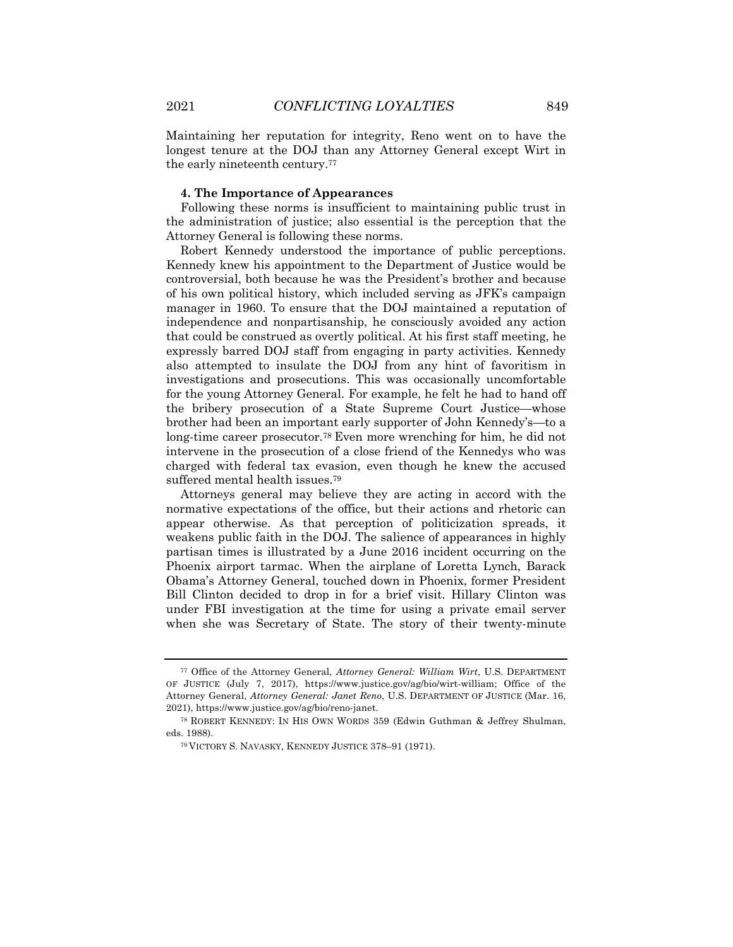Maintaining her reputation for integrity, Reno went on to have the longest tenure at the DOJ than any Attorney General except Wirt in the early nineteenth century.77

#### **4. The Importance of Appearances**

Following these norms is insufficient to maintaining public trust in the administration of justice; also essential is the perception that the Attorney General is following these norms.

Robert Kennedy understood the importance of public perceptions. Kennedy knew his appointment to the Department of Justice would be controversial, both because he was the President's brother and because of his own political history, which included serving as JFK's campaign manager in 1960. To ensure that the DOJ maintained a reputation of independence and nonpartisanship, he consciously avoided any action that could be construed as overtly political. At his first staff meeting, he expressly barred DOJ staff from engaging in party activities. Kennedy also attempted to insulate the DOJ from any hint of favoritism in investigations and prosecutions. This was occasionally uncomfortable for the young Attorney General. For example, he felt he had to hand off the bribery prosecution of a State Supreme Court Justice—whose brother had been an important early supporter of John Kennedy's—to a long-time career prosecutor.78 Even more wrenching for him, he did not intervene in the prosecution of a close friend of the Kennedys who was charged with federal tax evasion, even though he knew the accused suffered mental health issues.79

Attorneys general may believe they are acting in accord with the normative expectations of the office, but their actions and rhetoric can appear otherwise. As that perception of politicization spreads, it weakens public faith in the DOJ. The salience of appearances in highly partisan times is illustrated by a June 2016 incident occurring on the Phoenix airport tarmac. When the airplane of Loretta Lynch, Barack Obama's Attorney General, touched down in Phoenix, former President Bill Clinton decided to drop in for a brief visit. Hillary Clinton was under FBI investigation at the time for using a private email server when she was Secretary of State. The story of their twenty-minute

<sup>77</sup> Office of the Attorney General, *Attorney General: William Wirt*, U.S. DEPARTMENT OF JUSTICE (July 7, 2017), https://www.justice.gov/ag/bio/wirt-william; Office of the Attorney General, *Attorney General: Janet Reno*, U.S. DEPARTMENT OF JUSTICE (Mar. 16, 2021), https://www.justice.gov/ag/bio/reno-janet.

<sup>78</sup> ROBERT KENNEDY: IN HIS OWN WORDS 359 (Edwin Guthman & Jeffrey Shulman, eds. 1988).

<sup>79</sup> VICTORY S. NAVASKY, KENNEDY JUSTICE 378–91 (1971).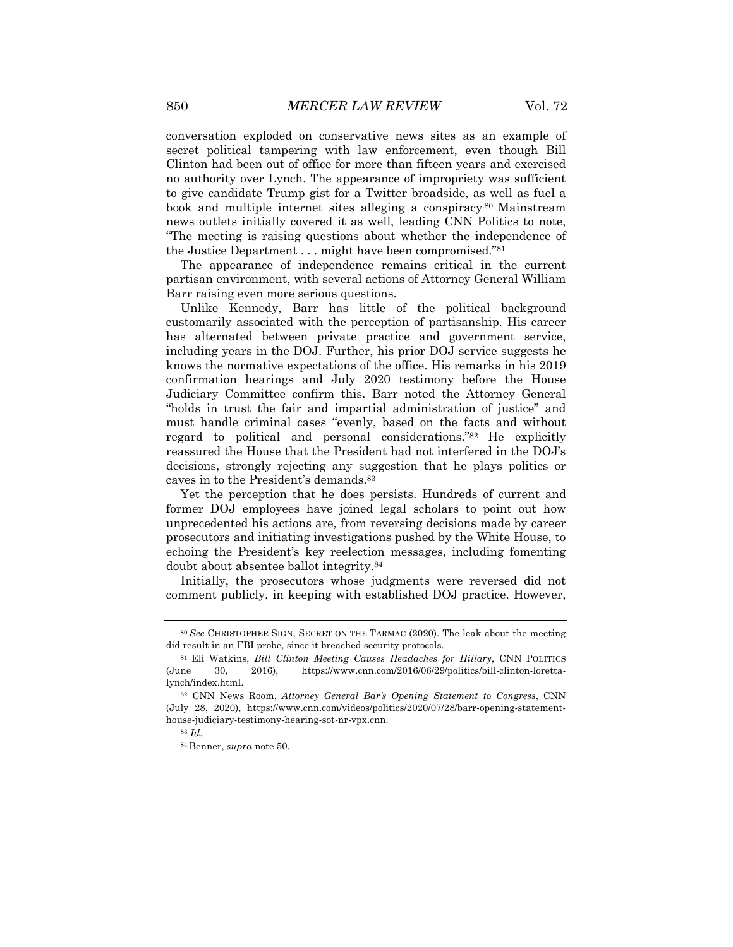conversation exploded on conservative news sites as an example of secret political tampering with law enforcement, even though Bill Clinton had been out of office for more than fifteen years and exercised no authority over Lynch. The appearance of impropriety was sufficient to give candidate Trump gist for a Twitter broadside, as well as fuel a book and multiple internet sites alleging a conspiracy.80 Mainstream news outlets initially covered it as well, leading CNN Politics to note, "The meeting is raising questions about whether the independence of the Justice Department . . . might have been compromised."81

The appearance of independence remains critical in the current partisan environment, with several actions of Attorney General William Barr raising even more serious questions.

Unlike Kennedy, Barr has little of the political background customarily associated with the perception of partisanship. His career has alternated between private practice and government service, including years in the DOJ. Further, his prior DOJ service suggests he knows the normative expectations of the office. His remarks in his 2019 confirmation hearings and July 2020 testimony before the House Judiciary Committee confirm this. Barr noted the Attorney General "holds in trust the fair and impartial administration of justice" and must handle criminal cases "evenly, based on the facts and without regard to political and personal considerations."82 He explicitly reassured the House that the President had not interfered in the DOJ's decisions, strongly rejecting any suggestion that he plays politics or caves in to the President's demands.83

Yet the perception that he does persists. Hundreds of current and former DOJ employees have joined legal scholars to point out how unprecedented his actions are, from reversing decisions made by career prosecutors and initiating investigations pushed by the White House, to echoing the President's key reelection messages, including fomenting doubt about absentee ballot integrity.84

Initially, the prosecutors whose judgments were reversed did not comment publicly, in keeping with established DOJ practice. However,

<sup>80</sup> *See* CHRISTOPHER SIGN, SECRET ON THE TARMAC (2020). The leak about the meeting did result in an FBI probe, since it breached security protocols.

<sup>81</sup> Eli Watkins, *Bill Clinton Meeting Causes Headaches for Hillary*, CNN POLITICS (June 30, 2016), https://www.cnn.com/2016/06/29/politics/bill-clinton-lorettalynch/index.html.

<sup>82</sup> CNN News Room, *Attorney General Bar's Opening Statement to Congress*, CNN (July 28, 2020), https://www.cnn.com/videos/politics/2020/07/28/barr-opening-statementhouse-judiciary-testimony-hearing-sot-nr-vpx.cnn.

<sup>83</sup> *Id*.

<sup>84</sup> Benner, *supra* note 50.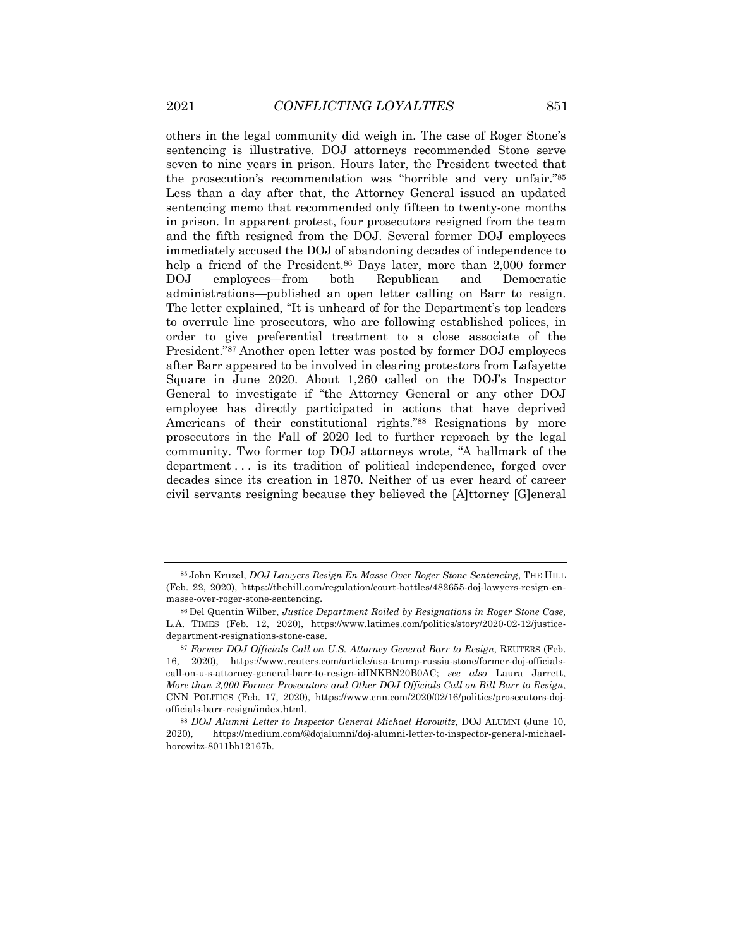others in the legal community did weigh in. The case of Roger Stone's sentencing is illustrative. DOJ attorneys recommended Stone serve seven to nine years in prison. Hours later, the President tweeted that the prosecution's recommendation was "horrible and very unfair."85 Less than a day after that, the Attorney General issued an updated sentencing memo that recommended only fifteen to twenty-one months in prison. In apparent protest, four prosecutors resigned from the team and the fifth resigned from the DOJ. Several former DOJ employees immediately accused the DOJ of abandoning decades of independence to help a friend of the President.<sup>86</sup> Days later, more than 2,000 former DOJ employees—from both Republican and Democratic administrations—published an open letter calling on Barr to resign. The letter explained, "It is unheard of for the Department's top leaders to overrule line prosecutors, who are following established polices, in order to give preferential treatment to a close associate of the President."87 Another open letter was posted by former DOJ employees after Barr appeared to be involved in clearing protestors from Lafayette Square in June 2020. About 1,260 called on the DOJ's Inspector General to investigate if "the Attorney General or any other DOJ employee has directly participated in actions that have deprived Americans of their constitutional rights."88 Resignations by more prosecutors in the Fall of 2020 led to further reproach by the legal community. Two former top DOJ attorneys wrote, "A hallmark of the department . . . is its tradition of political independence, forged over decades since its creation in 1870. Neither of us ever heard of career civil servants resigning because they believed the [A]ttorney [G]eneral

<sup>85</sup> John Kruzel, *DOJ Lawyers Resign En Masse Over Roger Stone Sentencing*, THE HILL (Feb. 22, 2020), https://thehill.com/regulation/court-battles/482655-doj-lawyers-resign-enmasse-over-roger-stone-sentencing.

<sup>86</sup> Del Quentin Wilber, *Justice Department Roiled by Resignations in Roger Stone Case,* L.A. TIMES (Feb. 12, 2020), https://www.latimes.com/politics/story/2020-02-12/justicedepartment-resignations-stone-case.

<sup>87</sup> *Former DOJ Officials Call on U.S. Attorney General Barr to Resign*, REUTERS (Feb. 16, 2020), https://www.reuters.com/article/usa-trump-russia-stone/former-doj-officialscall-on-u-s-attorney-general-barr-to-resign-idINKBN20B0AC; *see also* Laura Jarrett, *More than 2,000 Former Prosecutors and Other DOJ Officials Call on Bill Barr to Resign*, CNN POLITICS (Feb. 17, 2020), https://www.cnn.com/2020/02/16/politics/prosecutors-dojofficials-barr-resign/index.html.

<sup>88</sup> *DOJ Alumni Letter to Inspector General Michael Horowitz*, DOJ ALUMNI (June 10, 2020), https://medium.com/@dojalumni/doj-alumni-letter-to-inspector-general-michaelhorowitz-8011bb12167b.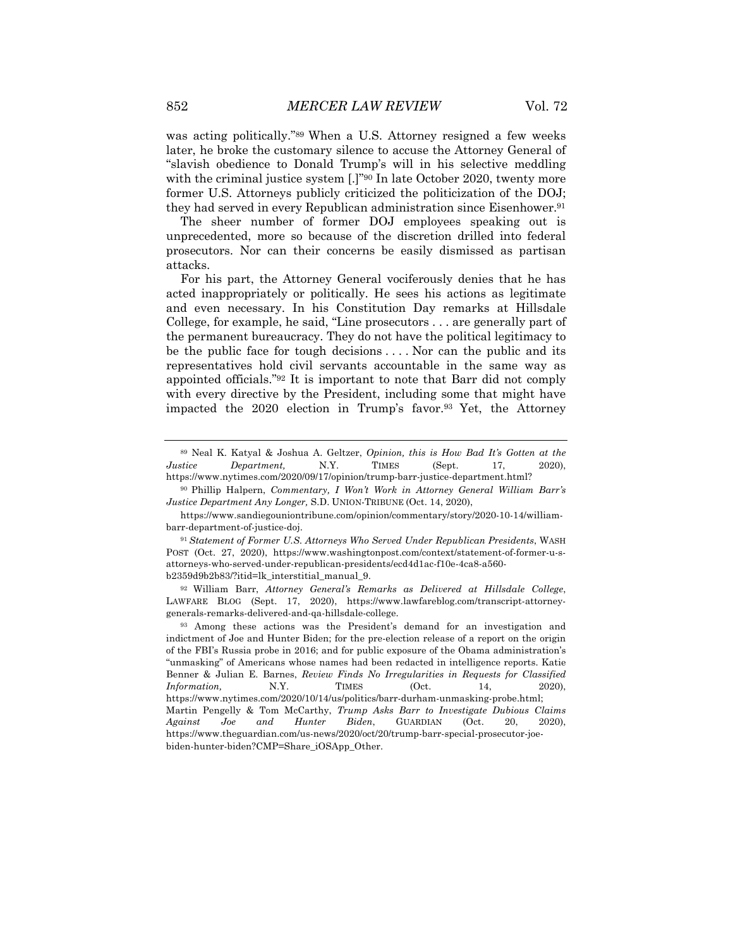was acting politically."89 When a U.S. Attorney resigned a few weeks later, he broke the customary silence to accuse the Attorney General of "slavish obedience to Donald Trump's will in his selective meddling with the criminal justice system [.]"<sup>90</sup> In late October 2020, twenty more former U.S. Attorneys publicly criticized the politicization of the DOJ; they had served in every Republican administration since Eisenhower.91

The sheer number of former DOJ employees speaking out is unprecedented, more so because of the discretion drilled into federal prosecutors. Nor can their concerns be easily dismissed as partisan attacks.

For his part, the Attorney General vociferously denies that he has acted inappropriately or politically. He sees his actions as legitimate and even necessary. In his Constitution Day remarks at Hillsdale College, for example, he said, "Line prosecutors . . . are generally part of the permanent bureaucracy. They do not have the political legitimacy to be the public face for tough decisions . . . . Nor can the public and its representatives hold civil servants accountable in the same way as appointed officials."92 It is important to note that Barr did not comply with every directive by the President, including some that might have impacted the 2020 election in Trump's favor.93 Yet, the Attorney

<sup>90</sup> Phillip Halpern, *Commentary, I Won't Work in Attorney General William Barr's Justice Department Any Longer,* S.D. UNION-TRIBUNE (Oct. 14, 2020),

<sup>89</sup> Neal K. Katyal & Joshua A. Geltzer, *Opinion, this is How Bad It's Gotten at the Justice Department,* N.Y. TIMES (Sept. 17, 2020), https://www.nytimes.com/2020/09/17/opinion/trump-barr-justice-department.html?

https://www.sandiegouniontribune.com/opinion/commentary/story/2020-10-14/williambarr-department-of-justice-doj.

<sup>91</sup> *Statement of Former U.S. Attorneys Who Served Under Republican Presidents*, WASH POST (Oct. 27, 2020), https://www.washingtonpost.com/context/statement-of-former-u-sattorneys-who-served-under-republican-presidents/ecd4d1ac-f10e-4ca8-a560 b2359d9b2b83/?itid=lk\_interstitial\_manual\_9.

<sup>92</sup> William Barr, *Attorney General's Remarks as Delivered at Hillsdale College*, LAWFARE BLOG (Sept. 17, 2020), https://www.lawfareblog.com/transcript-attorneygenerals-remarks-delivered-and-qa-hillsdale-college.

<sup>93</sup> Among these actions was the President's demand for an investigation and indictment of Joe and Hunter Biden; for the pre-election release of a report on the origin of the FBI's Russia probe in 2016; and for public exposure of the Obama administration's "unmasking" of Americans whose names had been redacted in intelligence reports. Katie Benner & Julian E. Barnes, *Review Finds No Irregularities in Requests for Classified Information.* N.Y. TIMES (Oct. 14, 2020), https://www.nytimes.com/2020/10/14/us/politics/barr-durham-unmasking-probe.html; Martin Pengelly & Tom McCarthy, *Trump Asks Barr to Investigate Dubious Claims Against Joe and Hunter Biden*, GUARDIAN (Oct. 20, 2020), https://www.theguardian.com/us-news/2020/oct/20/trump-barr-special-prosecutor-joebiden-hunter-biden?CMP=Share\_iOSApp\_Other.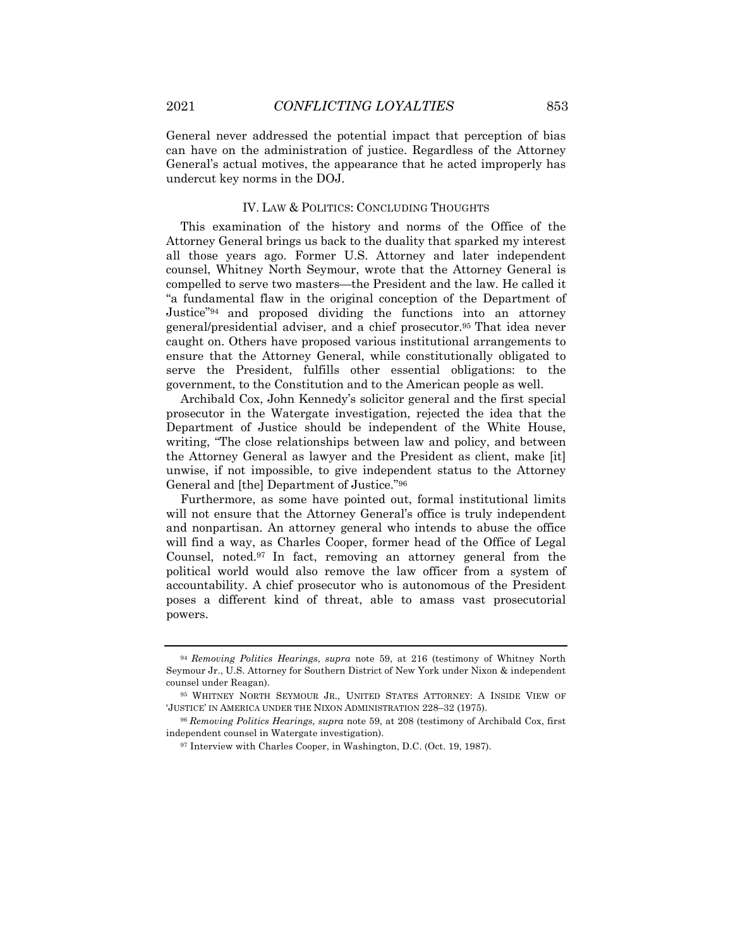General never addressed the potential impact that perception of bias can have on the administration of justice. Regardless of the Attorney General's actual motives, the appearance that he acted improperly has

#### IV. LAW & POLITICS: CONCLUDING THOUGHTS

This examination of the history and norms of the Office of the Attorney General brings us back to the duality that sparked my interest all those years ago. Former U.S. Attorney and later independent counsel, Whitney North Seymour, wrote that the Attorney General is compelled to serve two masters—the President and the law. He called it "a fundamental flaw in the original conception of the Department of Justice"94 and proposed dividing the functions into an attorney general/presidential adviser, and a chief prosecutor.95 That idea never caught on. Others have proposed various institutional arrangements to ensure that the Attorney General, while constitutionally obligated to serve the President, fulfills other essential obligations: to the government, to the Constitution and to the American people as well.

Archibald Cox, John Kennedy's solicitor general and the first special prosecutor in the Watergate investigation, rejected the idea that the Department of Justice should be independent of the White House, writing, "The close relationships between law and policy, and between the Attorney General as lawyer and the President as client, make [it] unwise, if not impossible, to give independent status to the Attorney General and [the] Department of Justice."96

Furthermore, as some have pointed out, formal institutional limits will not ensure that the Attorney General's office is truly independent and nonpartisan. An attorney general who intends to abuse the office will find a way, as Charles Cooper, former head of the Office of Legal Counsel, noted.97 In fact, removing an attorney general from the political world would also remove the law officer from a system of accountability. A chief prosecutor who is autonomous of the President poses a different kind of threat, able to amass vast prosecutorial powers.

undercut key norms in the DOJ.

<sup>94</sup> *Removing Politics Hearings*, *supra* note 59, at 216 (testimony of Whitney North Seymour Jr., U.S. Attorney for Southern District of New York under Nixon & independent counsel under Reagan).

<sup>95</sup> WHITNEY NORTH SEYMOUR JR., UNITED STATES ATTORNEY: A INSIDE VIEW OF 'JUSTICE' IN AMERICA UNDER THE NIXON ADMINISTRATION 228–32 (1975).

<sup>96</sup> *Removing Politics Hearings, supra* note 59, at 208 (testimony of Archibald Cox, first independent counsel in Watergate investigation).

<sup>97</sup> Interview with Charles Cooper, in Washington, D.C. (Oct. 19, 1987).